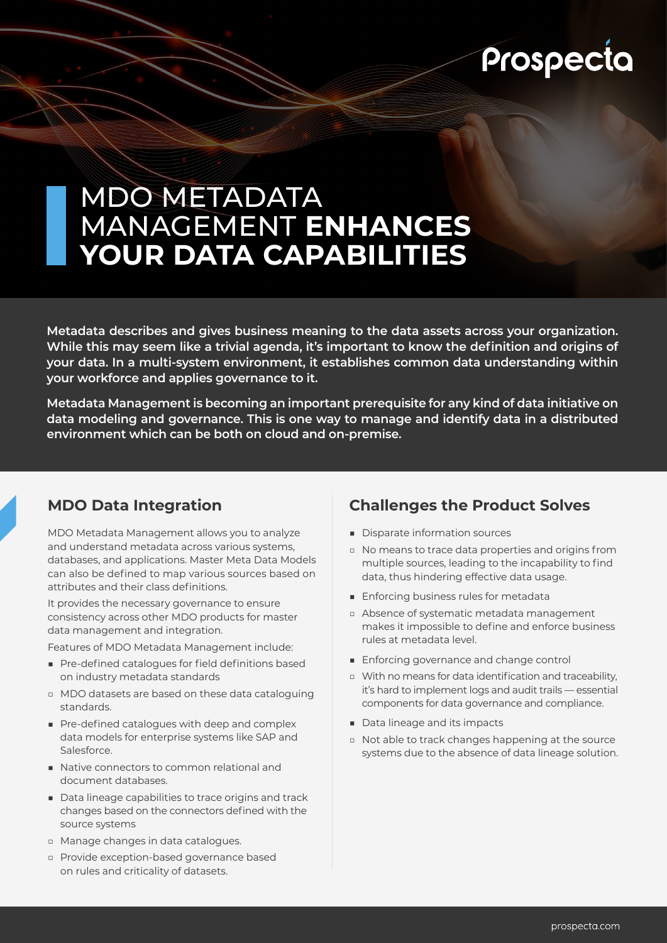# Prospecta

# MDO METADATA MANAGEMENT **ENHANCES YOUR DATA CAPABILITIES**

**Metadata describes and gives business meaning to the data assets across your organization. While this may seem like a trivial agenda, it's important to know the definition and origins of your data. In a multi-system environment, it establishes common data understanding within your workforce and applies governance to it.** 

**Metadata Management is becoming an important prerequisite for any kind of data initiative on data modeling and governance. This is one way to manage and identify data in a distributed environment which can be both on cloud and on-premise.** 

## **MDO Data Integration**

MDO Metadata Management allows you to analyze and understand metadata across various systems, databases, and applications. Master Meta Data Models can also be defined to map various sources based on attributes and their class definitions.

It provides the necessary governance to ensure consistency across other MDO products for master data management and integration.

Features of MDO Metadata Management include:

- Pre-defined catalogues for field definitions based on industry metadata standards
- □ MDO datasets are based on these data cataloguing standards.
- Pre-defined catalogues with deep and complex data models for enterprise systems like SAP and Salesforce.
- Native connectors to common relational and document databases.
- Data lineage capabilities to trace origins and track changes based on the connectors defined with the source systems
- □ Manage changes in data catalogues.
- □ Provide exception-based governance based on rules and criticality of datasets.

# **Challenges the Product Solves**

- Disparate information sources
- □ No means to trace data properties and origins from multiple sources, leading to the incapability to find data, thus hindering effective data usage.
- Enforcing business rules for metadata
- □ Absence of systematic metadata management makes it impossible to define and enforce business rules at metadata level.
- Enforcing governance and change control
- □ With no means for data identification and traceability, it's hard to implement logs and audit trails — essential components for data governance and compliance.
- Data lineage and its impacts
- □ Not able to track changes happening at the source systems due to the absence of data lineage solution.